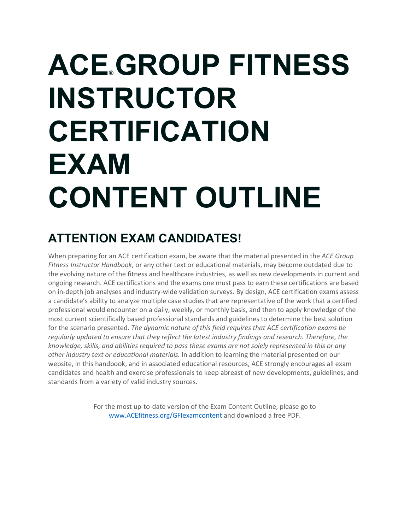# **ACE® GROUP FITNESS INSTRUCTOR CERTIFICATION EXAM CONTENT OUTLINE**

### **ATTENTION EXAM CANDIDATES!**

When preparing for an ACE certification exam, be aware that the material presented in the *ACE Group Fitness Instructor Handbook*, or any other text or educational materials, may become outdated due to the evolving nature of the fitness and healthcare industries, as well as new developments in current and ongoing research. ACE certifications and the exams one must pass to earn these certifications are based on in-depth job analyses and industry-wide validation surveys. By design, ACE certification exams assess a candidate's ability to analyze multiple case studies that are representative of the work that a certified professional would encounter on a daily, weekly, or monthly basis, and then to apply knowledge of the most current scientifically based professional standards and guidelines to determine the best solution for the scenario presented. *The dynamic nature of this field requires that ACE certification exams be regularly updated to ensure that they reflect the latest industry findings and research. Therefore, the knowledge, skills, and abilities required to pass these exams are not solely represented in this or any other industry text or educational materials.* In addition to learning the material presented on our website, in this handbook, and in associated educational resources, ACE strongly encourages all exam candidates and health and exercise professionals to keep abreast of new developments, guidelines, and standards from a variety of valid industry sources.

> For the most up-to-date version of the Exam Content Outline, please go to [www.ACEfitness.org/GFIexamcontent](http://www.acefitness.org/GFIexamcontent) and download a free PDF.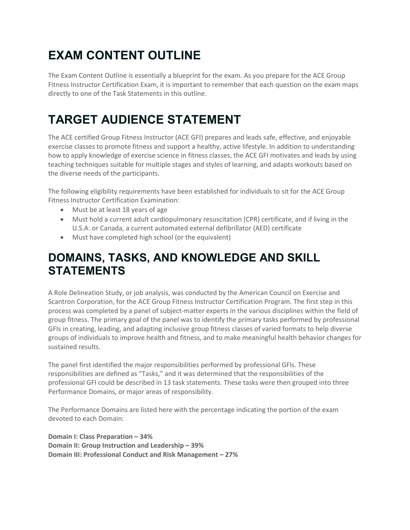## **EXAM CONTENT OUTLINE**

The Exam Content Outline is essentially a blueprint for the exam. As you prepare for the ACE Group Fitness Instructor Certification Exam, it is important to remember that each question on the exam maps directly to one of the Task Statements in this outline.

### **TARGET AUDIENCE STATEMENT**

The ACE certified Group Fitness Instructor (ACE GFI) prepares and leads safe, effective, and enjoyable exercise classes to promote fitness and support a healthy, active lifestyle. In addition to understanding how to apply knowledge of exercise science in fitness classes, the ACE GFI motivates and leads by using teaching techniques suitable for multiple stages and styles of learning, and adapts workouts based on the diverse needs of the participants.

The following eligibility requirements have been established for individuals to sit for the ACE Group Fitness Instructor Certification Examination:

- Must be at least 18 years of age
- Must hold a current adult cardiopulmonary resuscitation (CPR) certificate, and if living in the U.S.A. or Canada, a current automated external defibrillator (AED) certificate
- Must have completed high school (or the equivalent)

### **DOMAINS, TASKS, AND KNOWLEDGE AND SKILL STATEMENTS**

A Role Delineation Study, or job analysis, was conducted by the American Council on Exercise and Scantron Corporation, for the ACE Group Fitness Instructor Certification Program. The first step in this process was completed by a panel of subject-matter experts in the various disciplines within the field of group fitness. The primary goal of the panel was to identify the primary tasks performed by professional GFIs in creating, leading, and adapting inclusive group fitness classes of varied formats to help diverse groups of individuals to improve health and fitness, and to make meaningful health behavior changes for sustained results.

The panel first identified the major responsibilities performed by professional GFIs. These responsibilities are defined as "Tasks," and it was determined that the responsibilities of the professional GFI could be described in 13 task statements. These tasks were then grouped into three Performance Domains, or major areas of responsibility.

The Performance Domains are listed here with the percentage indicating the portion of the exam devoted to each Domain:

**Domain I: Class Preparation – 34% Domain II: Group Instruction and Leadership – 39% Domain III: Professional Conduct and Risk Management – 27%**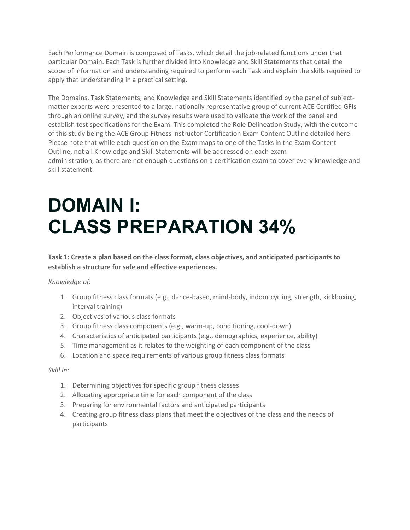Each Performance Domain is composed of Tasks, which detail the job-related functions under that particular Domain. Each Task is further divided into Knowledge and Skill Statements that detail the scope of information and understanding required to perform each Task and explain the skills required to apply that understanding in a practical setting.

The Domains, Task Statements, and Knowledge and Skill Statements identified by the panel of subjectmatter experts were presented to a large, nationally representative group of current ACE Certified GFIs through an online survey, and the survey results were used to validate the work of the panel and establish test specifications for the Exam. This completed the Role Delineation Study, with the outcome of this study being the ACE Group Fitness Instructor Certification Exam Content Outline detailed here. Please note that while each question on the Exam maps to one of the Tasks in the Exam Content Outline, not all Knowledge and Skill Statements will be addressed on each exam administration, as there are not enough questions on a certification exam to cover every knowledge and skill statement.

## **DOMAIN I: CLASS PREPARATION 34%**

**Task 1: Create a plan based on the class format, class objectives, and anticipated participants to establish a structure for safe and effective experiences.**

#### *Knowledge of:*

- 1. Group fitness class formats (e.g., dance-based, mind-body, indoor cycling, strength, kickboxing, interval training)
- 2. Objectives of various class formats
- 3. Group fitness class components (e.g., warm-up, conditioning, cool-down)
- 4. Characteristics of anticipated participants (e.g., demographics, experience, ability)
- 5. Time management as it relates to the weighting of each component of the class
- 6. Location and space requirements of various group fitness class formats

- 1. Determining objectives for specific group fitness classes
- 2. Allocating appropriate time for each component of the class
- 3. Preparing for environmental factors and anticipated participants
- 4. Creating group fitness class plans that meet the objectives of the class and the needs of participants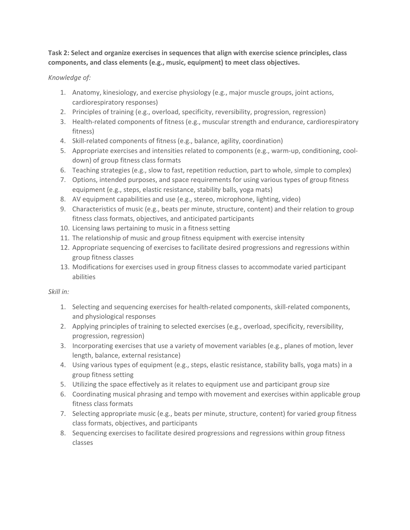**Task 2: Select and organize exercises in sequences that align with exercise science principles, class components, and class elements (e.g., music, equipment) to meet class objectives.**

#### *Knowledge of:*

- 1. Anatomy, kinesiology, and exercise physiology (e.g., major muscle groups, joint actions, cardiorespiratory responses)
- 2. Principles of training (e.g., overload, specificity, reversibility, progression, regression)
- 3. Health-related components of fitness (e.g., muscular strength and endurance, cardiorespiratory fitness)
- 4. Skill-related components of fitness (e.g., balance, agility, coordination)
- 5. Appropriate exercises and intensities related to components (e.g., warm-up, conditioning, cooldown) of group fitness class formats
- 6. Teaching strategies (e.g., slow to fast, repetition reduction, part to whole, simple to complex)
- 7. Options, intended purposes, and space requirements for using various types of group fitness equipment (e.g., steps, elastic resistance, stability balls, yoga mats)
- 8. AV equipment capabilities and use (e.g., stereo, microphone, lighting, video)
- 9. Characteristics of music (e.g., beats per minute, structure, content) and their relation to group fitness class formats, objectives, and anticipated participants
- 10. Licensing laws pertaining to music in a fitness setting
- 11. The relationship of music and group fitness equipment with exercise intensity
- 12. Appropriate sequencing of exercises to facilitate desired progressions and regressions within group fitness classes
- 13. Modifications for exercises used in group fitness classes to accommodate varied participant abilities

- 1. Selecting and sequencing exercises for health-related components, skill-related components, and physiological responses
- 2. Applying principles of training to selected exercises (e.g., overload, specificity, reversibility, progression, regression)
- 3. Incorporating exercises that use a variety of movement variables (e.g., planes of motion, lever length, balance, external resistance)
- 4. Using various types of equipment (e.g., steps, elastic resistance, stability balls, yoga mats) in a group fitness setting
- 5. Utilizing the space effectively as it relates to equipment use and participant group size
- 6. Coordinating musical phrasing and tempo with movement and exercises within applicable group fitness class formats
- 7. Selecting appropriate music (e.g., beats per minute, structure, content) for varied group fitness class formats, objectives, and participants
- 8. Sequencing exercises to facilitate desired progressions and regressions within group fitness classes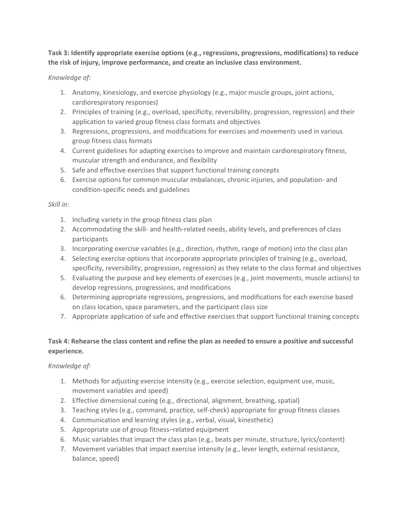**Task 3: Identify appropriate exercise options (e.g., regressions, progressions, modifications) to reduce the risk of injury, improve performance, and create an inclusive class environment.**

#### *Knowledge of:*

- 1. Anatomy, kinesiology, and exercise physiology (e.g., major muscle groups, joint actions, cardiorespiratory responses)
- 2. Principles of training (e.g., overload, specificity, reversibility, progression, regression) and their application to varied group fitness class formats and objectives
- 3. Regressions, progressions, and modifications for exercises and movements used in various group fitness class formats
- 4. Current guidelines for adapting exercises to improve and maintain cardiorespiratory fitness, muscular strength and endurance, and flexibility
- 5. Safe and effective exercises that support functional training concepts
- 6. Exercise options for common muscular imbalances, chronic injuries, and population- and condition-specific needs and guidelines

#### *Skill in:*

- 1. Including variety in the group fitness class plan
- 2. Accommodating the skill- and health-related needs, ability levels, and preferences of class participants
- 3. Incorporating exercise variables (e.g., direction, rhythm, range of motion) into the class plan
- 4. Selecting exercise options that incorporate appropriate principles of training (e.g., overload, specificity, reversibility, progression, regression) as they relate to the class format and objectives
- 5. Evaluating the purpose and key elements of exercises (e.g., joint movements, muscle actions) to develop regressions, progressions, and modifications
- 6. Determining appropriate regressions, progressions, and modifications for each exercise based on class location, space parameters, and the participant class size
- 7. Appropriate application of safe and effective exercises that support functional training concepts

#### **Task 4: Rehearse the class content and refine the plan as needed to ensure a positive and successful experience.**

#### *Knowledge of:*

- 1. Methods for adjusting exercise intensity (e.g., exercise selection, equipment use, music, movement variables and speed)
- 2. Effective dimensional cueing (e.g., directional, alignment, breathing, spatial)
- 3. Teaching styles (e.g., command, practice, self-check) appropriate for group fitness classes
- 4. Communication and learning styles (e.g., verbal, visual, kinesthetic)
- 5. Appropriate use of group fitness–related equipment
- 6. Music variables that impact the class plan (e.g., beats per minute, structure, lyrics/content)
- 7. Movement variables that impact exercise intensity (e.g., lever length, external resistance, balance, speed)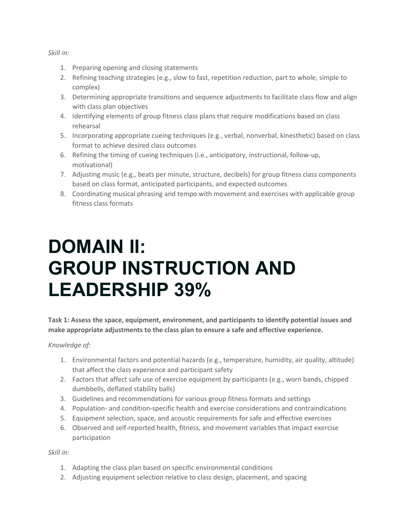#### *Skill in:*

- 1. Preparing opening and closing statements
- 2. Refining teaching strategies (e.g., slow to fast, repetition reduction, part to whole, simple to complex)
- 3. Determining appropriate transitions and sequence adjustments to facilitate class flow and align with class plan objectives
- 4. Identifying elements of group fitness class plans that require modifications based on class rehearsal
- 5. Incorporating appropriate cueing techniques (e.g., verbal, nonverbal, kinesthetic) based on class format to achieve desired class outcomes
- 6. Refining the timing of cueing techniques (i.e., anticipatory, instructional, follow-up, motivational)
- 7. Adjusting music (e.g., beats per minute, structure, decibels) for group fitness class components based on class format, anticipated participants, and expected outcomes
- 8. Coordinating musical phrasing and tempo with movement and exercises with applicable group fitness class formats

## **DOMAIN II: GROUP INSTRUCTION AND LEADERSHIP 39%**

**Task 1: Assess the space, equipment, environment, and participants to identify potential issues and make appropriate adjustments to the class plan to ensure a safe and effective experience.**

#### *Knowledge of:*

- 1. Environmental factors and potential hazards (e.g., temperature, humidity, air quality, altitude) that affect the class experience and participant safety
- 2. Factors that affect safe use of exercise equipment by participants (e.g., worn bands, chipped dumbbells, deflated stability balls)
- 3. Guidelines and recommendations for various group fitness formats and settings
- 4. Population- and condition-specific health and exercise considerations and contraindications
- 5. Equipment selection, space, and acoustic requirements for safe and effective exercises
- 6. Observed and self-reported health, fitness, and movement variables that impact exercise participation

- 1. Adapting the class plan based on specific environmental conditions
- 2. Adjusting equipment selection relative to class design, placement, and spacing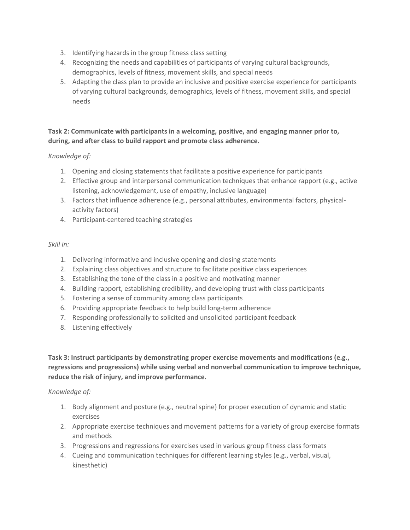- 3. Identifying hazards in the group fitness class setting
- 4. Recognizing the needs and capabilities of participants of varying cultural backgrounds, demographics, levels of fitness, movement skills, and special needs
- 5. Adapting the class plan to provide an inclusive and positive exercise experience for participants of varying cultural backgrounds, demographics, levels of fitness, movement skills, and special needs

#### **Task 2: Communicate with participants in a welcoming, positive, and engaging manner prior to, during, and after class to build rapport and promote class adherence.**

#### *Knowledge of:*

- 1. Opening and closing statements that facilitate a positive experience for participants
- 2. Effective group and interpersonal communication techniques that enhance rapport (e.g., active listening, acknowledgement, use of empathy, inclusive language)
- 3. Factors that influence adherence (e.g., personal attributes, environmental factors, physicalactivity factors)
- 4. Participant-centered teaching strategies

#### *Skill in:*

- 1. Delivering informative and inclusive opening and closing statements
- 2. Explaining class objectives and structure to facilitate positive class experiences
- 3. Establishing the tone of the class in a positive and motivating manner
- 4. Building rapport, establishing credibility, and developing trust with class participants
- 5. Fostering a sense of community among class participants
- 6. Providing appropriate feedback to help build long-term adherence
- 7. Responding professionally to solicited and unsolicited participant feedback
- 8. Listening effectively

**Task 3: Instruct participants by demonstrating proper exercise movements and modifications (e.g., regressions and progressions) while using verbal and nonverbal communication to improve technique, reduce the risk of injury, and improve performance.**

#### *Knowledge of:*

- 1. Body alignment and posture (e.g., neutral spine) for proper execution of dynamic and static exercises
- 2. Appropriate exercise techniques and movement patterns for a variety of group exercise formats and methods
- 3. Progressions and regressions for exercises used in various group fitness class formats
- 4. Cueing and communication techniques for different learning styles (e.g., verbal, visual, kinesthetic)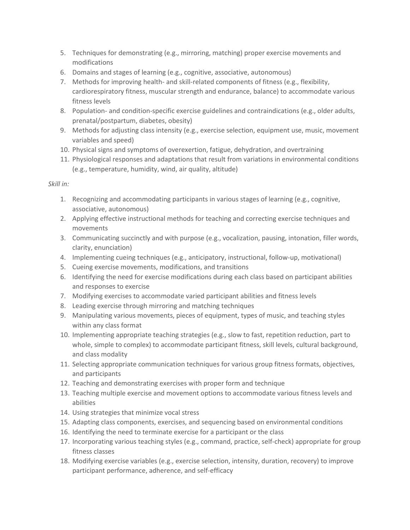- 5. Techniques for demonstrating (e.g., mirroring, matching) proper exercise movements and modifications
- 6. Domains and stages of learning (e.g., cognitive, associative, autonomous)
- 7. Methods for improving health- and skill-related components of fitness (e.g., flexibility, cardiorespiratory fitness, muscular strength and endurance, balance) to accommodate various fitness levels
- 8. Population- and condition-specific exercise guidelines and contraindications (e.g., older adults, prenatal/postpartum, diabetes, obesity)
- 9. Methods for adjusting class intensity (e.g., exercise selection, equipment use, music, movement variables and speed)
- 10. Physical signs and symptoms of overexertion, fatigue, dehydration, and overtraining
- 11. Physiological responses and adaptations that result from variations in environmental conditions (e.g., temperature, humidity, wind, air quality, altitude)

- 1. Recognizing and accommodating participants in various stages of learning (e.g., cognitive, associative, autonomous)
- 2. Applying effective instructional methods for teaching and correcting exercise techniques and movements
- 3. Communicating succinctly and with purpose (e.g., vocalization, pausing, intonation, filler words, clarity, enunciation)
- 4. Implementing cueing techniques (e.g., anticipatory, instructional, follow-up, motivational)
- 5. Cueing exercise movements, modifications, and transitions
- 6. Identifying the need for exercise modifications during each class based on participant abilities and responses to exercise
- 7. Modifying exercises to accommodate varied participant abilities and fitness levels
- 8. Leading exercise through mirroring and matching techniques
- 9. Manipulating various movements, pieces of equipment, types of music, and teaching styles within any class format
- 10. Implementing appropriate teaching strategies (e.g., slow to fast, repetition reduction, part to whole, simple to complex) to accommodate participant fitness, skill levels, cultural background, and class modality
- 11. Selecting appropriate communication techniques for various group fitness formats, objectives, and participants
- 12. Teaching and demonstrating exercises with proper form and technique
- 13. Teaching multiple exercise and movement options to accommodate various fitness levels and abilities
- 14. Using strategies that minimize vocal stress
- 15. Adapting class components, exercises, and sequencing based on environmental conditions
- 16. Identifying the need to terminate exercise for a participant or the class
- 17. Incorporating various teaching styles (e.g., command, practice, self-check) appropriate for group fitness classes
- 18. Modifying exercise variables (e.g., exercise selection, intensity, duration, recovery) to improve participant performance, adherence, and self-efficacy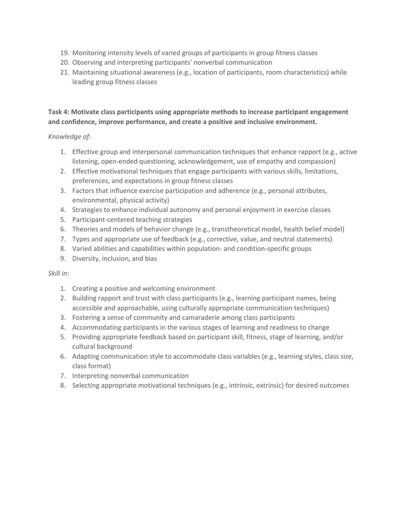- 19. Monitoring intensity levels of varied groups of participants in group fitness classes
- 20. Observing and interpreting participants' nonverbal communication
- 21. Maintaining situational awareness (e.g., location of participants, room characteristics) while leading group fitness classes

#### **Task 4: Motivate class participants using appropriate methods to increase participant engagement and confidence, improve performance, and create a positive and inclusive environment.**

#### *Knowledge of:*

- 1. Effective group and interpersonal communication techniques that enhance rapport (e.g., active listening, open-ended questioning, acknowledgement, use of empathy and compassion)
- 2. Effective motivational techniques that engage participants with various skills, limitations, preferences, and expectations in group fitness classes
- 3. Factors that influence exercise participation and adherence (e.g., personal attributes, environmental, physical activity)
- 4. Strategies to enhance individual autonomy and personal enjoyment in exercise classes
- 5. Participant-centered teaching strategies
- 6. Theories and models of behavior change (e.g., transtheoretical model, health belief model)
- 7. Types and appropriate use of feedback (e.g., corrective, value, and neutral statements)
- 8. Varied abilities and capabilities within population- and condition-specific groups
- 9. Diversity, inclusion, and bias

- 1. Creating a positive and welcoming environment
- 2. Building rapport and trust with class participants (e.g., learning participant names, being accessible and approachable, using culturally appropriate communication techniques)
- 3. Fostering a sense of community and camaraderie among class participants
- 4. Accommodating participants in the various stages of learning and readiness to change
- 5. Providing appropriate feedback based on participant skill, fitness, stage of learning, and/or cultural background
- 6. Adapting communication style to accommodate class variables (e.g., learning styles, class size, class format)
- 7. Interpreting nonverbal communication
- 8. Selecting appropriate motivational techniques (e.g., intrinsic, extrinsic) for desired outcomes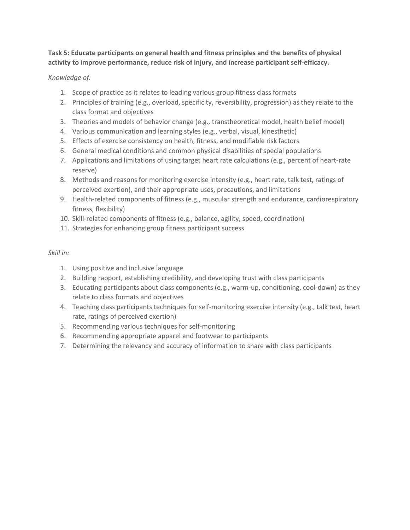**Task 5: Educate participants on general health and fitness principles and the benefits of physical activity to improve performance, reduce risk of injury, and increase participant self-efficacy.**

#### *Knowledge of:*

- 1. Scope of practice as it relates to leading various group fitness class formats
- 2. Principles of training (e.g., overload, specificity, reversibility, progression) as they relate to the class format and objectives
- 3. Theories and models of behavior change (e.g., transtheoretical model, health belief model)
- 4. Various communication and learning styles (e.g., verbal, visual, kinesthetic)
- 5. Effects of exercise consistency on health, fitness, and modifiable risk factors
- 6. General medical conditions and common physical disabilities of special populations
- 7. Applications and limitations of using target heart rate calculations (e.g., percent of heart-rate reserve)
- 8. Methods and reasons for monitoring exercise intensity (e.g., heart rate, talk test, ratings of perceived exertion), and their appropriate uses, precautions, and limitations
- 9. Health-related components of fitness (e.g., muscular strength and endurance, cardiorespiratory fitness, flexibility)
- 10. Skill-related components of fitness (e.g., balance, agility, speed, coordination)
- 11. Strategies for enhancing group fitness participant success

- 1. Using positive and inclusive language
- 2. Building rapport, establishing credibility, and developing trust with class participants
- 3. Educating participants about class components (e.g., warm-up, conditioning, cool-down) as they relate to class formats and objectives
- 4. Teaching class participants techniques for self-monitoring exercise intensity (e.g., talk test, heart rate, ratings of perceived exertion)
- 5. Recommending various techniques for self-monitoring
- 6. Recommending appropriate apparel and footwear to participants
- 7. Determining the relevancy and accuracy of information to share with class participants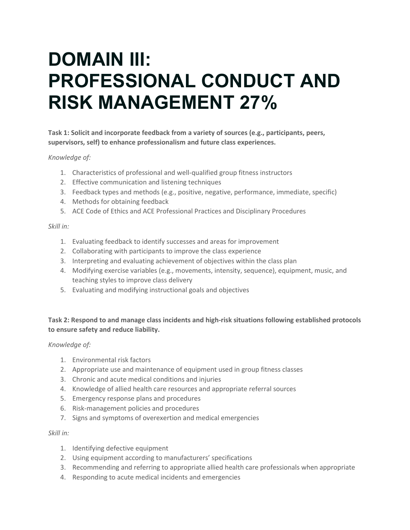## **DOMAIN III: PROFESSIONAL CONDUCT AND RISK MANAGEMENT 27%**

**Task 1: Solicit and incorporate feedback from a variety of sources (e.g., participants, peers, supervisors, self) to enhance professionalism and future class experiences.**

#### *Knowledge of:*

- 1. Characteristics of professional and well-qualified group fitness instructors
- 2. Effective communication and listening techniques
- 3. Feedback types and methods (e.g., positive, negative, performance, immediate, specific)
- 4. Methods for obtaining feedback
- 5. ACE Code of Ethics and ACE Professional Practices and Disciplinary Procedures

#### *Skill in:*

- 1. Evaluating feedback to identify successes and areas for improvement
- 2. Collaborating with participants to improve the class experience
- 3. Interpreting and evaluating achievement of objectives within the class plan
- 4. Modifying exercise variables (e.g., movements, intensity, sequence), equipment, music, and teaching styles to improve class delivery
- 5. Evaluating and modifying instructional goals and objectives

#### **Task 2: Respond to and manage class incidents and high-risk situations following established protocols to ensure safety and reduce liability.**

#### *Knowledge of:*

- 1. Environmental risk factors
- 2. Appropriate use and maintenance of equipment used in group fitness classes
- 3. Chronic and acute medical conditions and injuries
- 4. Knowledge of allied health care resources and appropriate referral sources
- 5. Emergency response plans and procedures
- 6. Risk-management policies and procedures
- 7. Signs and symptoms of overexertion and medical emergencies

- 1. Identifying defective equipment
- 2. Using equipment according to manufacturers' specifications
- 3. Recommending and referring to appropriate allied health care professionals when appropriate
- 4. Responding to acute medical incidents and emergencies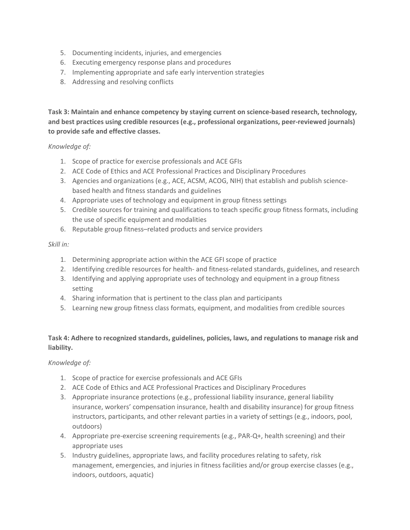- 5. Documenting incidents, injuries, and emergencies
- 6. Executing emergency response plans and procedures
- 7. Implementing appropriate and safe early intervention strategies
- 8. Addressing and resolving conflicts

**Task 3: Maintain and enhance competency by staying current on science-based research, technology, and best practices using credible resources (e.g., professional organizations, peer-reviewed journals) to provide safe and effective classes.**

*Knowledge of:*

- 1. Scope of practice for exercise professionals and ACE GFIs
- 2. ACE Code of Ethics and ACE Professional Practices and Disciplinary Procedures
- 3. Agencies and organizations (e.g., ACE, ACSM, ACOG, NIH) that establish and publish sciencebased health and fitness standards and guidelines
- 4. Appropriate uses of technology and equipment in group fitness settings
- 5. Credible sources for training and qualifications to teach specific group fitness formats, including the use of specific equipment and modalities
- 6. Reputable group fitness–related products and service providers

#### *Skill in:*

- 1. Determining appropriate action within the ACE GFI scope of practice
- 2. Identifying credible resources for health- and fitness-related standards, guidelines, and research
- 3. Identifying and applying appropriate uses of technology and equipment in a group fitness setting
- 4. Sharing information that is pertinent to the class plan and participants
- 5. Learning new group fitness class formats, equipment, and modalities from credible sources

#### **Task 4: Adhere to recognized standards, guidelines, policies, laws, and regulations to manage risk and liability.**

#### *Knowledge of:*

- 1. Scope of practice for exercise professionals and ACE GFIs
- 2. ACE Code of Ethics and ACE Professional Practices and Disciplinary Procedures
- 3. Appropriate insurance protections (e.g., professional liability insurance, general liability insurance, workers' compensation insurance, health and disability insurance) for group fitness instructors, participants, and other relevant parties in a variety of settings (e.g., indoors, pool, outdoors)
- 4. Appropriate pre-exercise screening requirements (e.g., PAR-Q+, health screening) and their appropriate uses
- 5. Industry guidelines, appropriate laws, and facility procedures relating to safety, risk management, emergencies, and injuries in fitness facilities and/or group exercise classes (e.g., indoors, outdoors, aquatic)